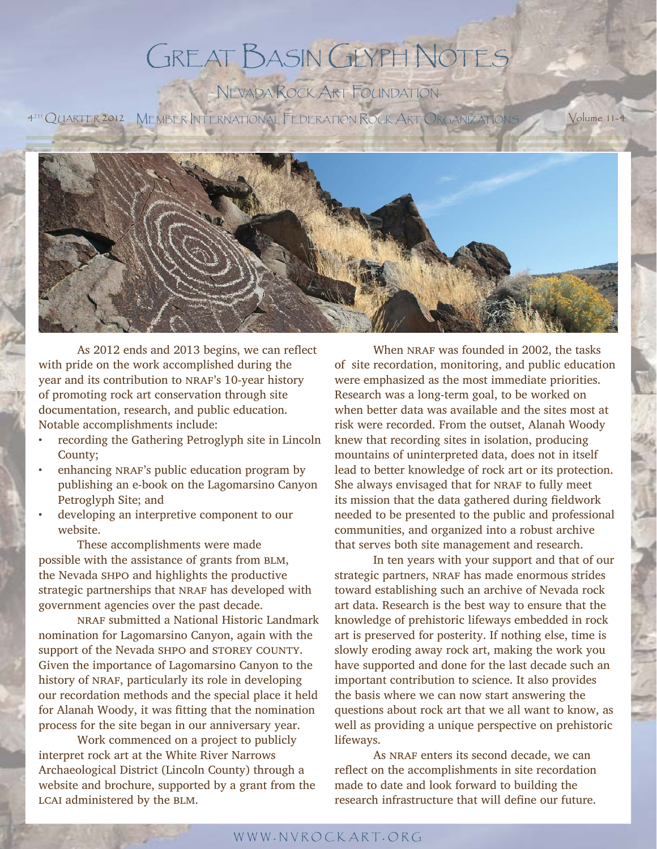# GREAT BASIN GLYPH NOTES

NEVADA ROCK ART FOUNDATION

4TH QUARTER 2012 MEMBER INTERNATIONAL FEDERATION ROCK ART ORGANIZATIONS Volume 11-4



As 2012 ends and 2013 begins, we can reflect with pride on the work accomplished during the year and its contribution to NRAF's 10-year history of promoting rock art conservation through site documentation, research, and public education. Notable accomplishments include:

- recording the Gathering Petroglyph site in Lincoln County;
- enhancing NRAF's public education program by publishing an e-book on the Lagomarsino Canyon Petroglyph Site; and
- developing an interpretive component to our website.

 These accomplishments were made possible with the assistance of grants from BLM, the Nevada shpo and highlights the productive strategic partnerships that NRAF has developed with government agencies over the past decade.

NRAF submitted a National Historic Landmark nomination for Lagomarsino Canyon, again with the support of the Nevada SHPO and STOREY COUNTY. Given the importance of Lagomarsino Canyon to the history of NRAF, particularly its role in developing our recordation methods and the special place it held for Alanah Woody, it was fitting that the nomination process for the site began in our anniversary year.

 Work commenced on a project to publicly interpret rock art at the White River Narrows Archaeological District (Lincoln County) through a website and brochure, supported by a grant from the LCAI administered by the BLM.

When NRAF was founded in 2002, the tasks of site recordation, monitoring, and public education were emphasized as the most immediate priorities. Research was a long-term goal, to be worked on when better data was available and the sites most at risk were recorded. From the outset, Alanah Woody knew that recording sites in isolation, producing mountains of uninterpreted data, does not in itself lead to better knowledge of rock art or its protection. She always envisaged that for NRAF to fully meet its mission that the data gathered during fieldwork needed to be presented to the public and professional communities, and organized into a robust archive that serves both site management and research.

 In ten years with your support and that of our strategic partners, NRAF has made enormous strides toward establishing such an archive of Nevada rock art data. Research is the best way to ensure that the knowledge of prehistoric lifeways embedded in rock art is preserved for posterity. If nothing else, time is slowly eroding away rock art, making the work you have supported and done for the last decade such an important contribution to science. It also provides the basis where we can now start answering the questions about rock art that we all want to know, as well as providing a unique perspective on prehistoric lifeways.

As NRAF enters its second decade, we can reflect on the accomplishments in site recordation made to date and look forward to building the research infrastructure that will define our future.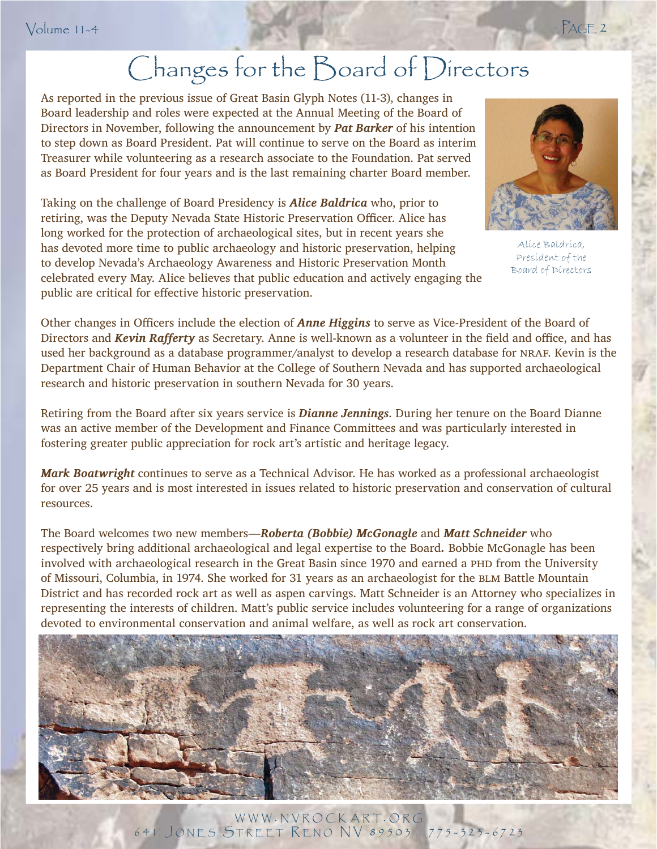# Changes for the Board of Directors

As reported in the previous issue of Great Basin Glyph Notes (11-3), changes in Board leadership and roles were expected at the Annual Meeting of the Board of Directors in November, following the announcement by *Pat Barker* of his intention to step down as Board President. Pat will continue to serve on the Board as interim Treasurer while volunteering as a research associate to the Foundation. Pat served as Board President for four years and is the last remaining charter Board member.

Taking on the challenge of Board Presidency is *Alice Baldrica* who, prior to retiring, was the Deputy Nevada State Historic Preservation Officer. Alice has long worked for the protection of archaeological sites, but in recent years she has devoted more time to public archaeology and historic preservation, helping to develop Nevada's Archaeology Awareness and Historic Preservation Month celebrated every May. Alice believes that public education and actively engaging the public are critical for effective historic preservation.



Alice Baldrica, President of the Board of Directors

Other changes in Officers include the election of **Anne Higgins** to serve as Vice-President of the Board of Directors and *Kevin Rafferty* as Secretary. Anne is well-known as a volunteer in the field and office, and has used her background as a database programmer/analyst to develop a research database for NRAF. Kevin is the Department Chair of Human Behavior at the College of Southern Nevada and has supported archaeological research and historic preservation in southern Nevada for 30 years.

was an active member of the Development and Finance Committees and was particularly interested in Retiring from the Board after six years service is *Dianne Jennings*. During her tenure on the Board Dianne fostering greater public appreciation for rock art's artistic and heritage legacy.

*Mark Boatwright* continues to serve as a Technical Advisor. He has worked as a professional archaeologist for over 25 years and is most interested in issues related to historic preservation and conservation of cultural resources.

The Board welcomes two new members—*Roberta (Bobbie) McGonagle* and *Matt Schneider* who respectively bring additional archaeological and legal expertise to the Board*.* Bobbie McGonagle has been involved with archaeological research in the Great Basin since 1970 and earned a PHD from the University of Missouri, Columbia, in 1974. She worked for 31 years as an archaeologist for the BLM Battle Mountain District and has recorded rock art as well as aspen carvings. Matt Schneider is an Attorney who specializes in representing the interests of children. Matt's public service includes volunteering for a range of organizations devoted to environmental conservation and animal welfare, as well as rock art conservation.



WWW . NVROCKART. ORG 641 J ONES STREET R ENO NV 89503 775-323-6723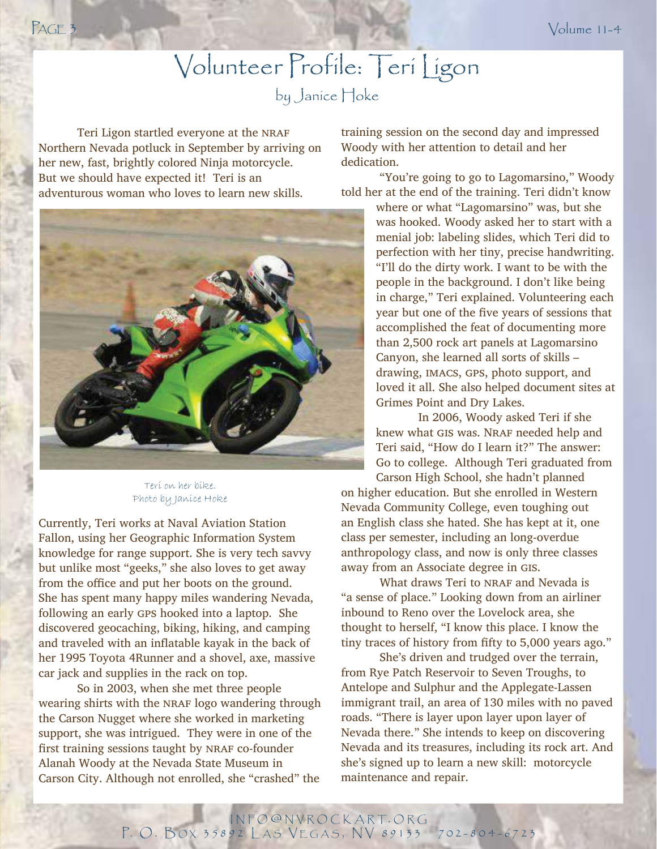# Volunteer Profile: Teri Ligon

by Janice Hoke

Teri Ligon startled everyone at the NRAF Northern Nevada potluck in September by arriving on her new, fast, brightly colored Ninja motorcycle. But we should have expected it! Teri is an adventurous woman who loves to learn new skills.



Teri on her bike. Photo by Janice Hoke

Currently, Teri works at Naval Aviation Station Fallon, using her Geographic Information System knowledge for range support. She is very tech savvy but unlike most "geeks," she also loves to get away from the office and put her boots on the ground. She has spent many happy miles wandering Nevada, following an early gps hooked into a laptop. She discovered geocaching, biking, hiking, and camping and traveled with an inflatable kayak in the back of her 1995 Toyota 4Runner and a shovel, axe, massive car jack and supplies in the rack on top.

 So in 2003, when she met three people wearing shirts with the NRAF logo wandering through the Carson Nugget where she worked in marketing support, she was intrigued. They were in one of the first training sessions taught by NRAF co-founder Alanah Woody at the Nevada State Museum in Carson City. Although not enrolled, she "crashed" the

training session on the second day and impressed Woody with her attention to detail and her dedication.

 "You're going to go to Lagomarsino," Woody told her at the end of the training. Teri didn't know

> where or what "Lagomarsino" was, but she was hooked. Woody asked her to start with a menial job: labeling slides, which Teri did to perfection with her tiny, precise handwriting. "I'll do the dirty work. I want to be with the people in the background. I don't like being in charge," Teri explained. Volunteering each year but one of the five years of sessions that accomplished the feat of documenting more than 2,500 rock art panels at Lagomarsino Canyon, she learned all sorts of skills – drawing, IMACS, GPS, photo support, and loved it all. She also helped document sites at Grimes Point and Dry Lakes.

 In 2006, Woody asked Teri if she knew what GIS was. NRAF needed help and Teri said, "How do I learn it?" The answer: Go to college. Although Teri graduated from Carson High School, she hadn't planned

on higher education. But she enrolled in Western Nevada Community College, even toughing out an English class she hated. She has kept at it, one class per semester, including an long-overdue anthropology class, and now is only three classes away from an Associate degree in gis.

What draws Teri to NRAF and Nevada is "a sense of place." Looking down from an airliner inbound to Reno over the Lovelock area, she thought to herself, "I know this place. I know the tiny traces of history from fifty to 5,000 years ago."

 She's driven and trudged over the terrain, from Rye Patch Reservoir to Seven Troughs, to Antelope and Sulphur and the Applegate-Lassen immigrant trail, an area of 130 miles with no paved roads. "There is layer upon layer upon layer of Nevada there." She intends to keep on discovering Nevada and its treasures, including its rock art. And she's signed up to learn a new skill: motorcycle maintenance and repair.

INFO @ NVROCKART. ORG P. O. BOX 35892 LAS VEGAS, NV 89133 702-804-6723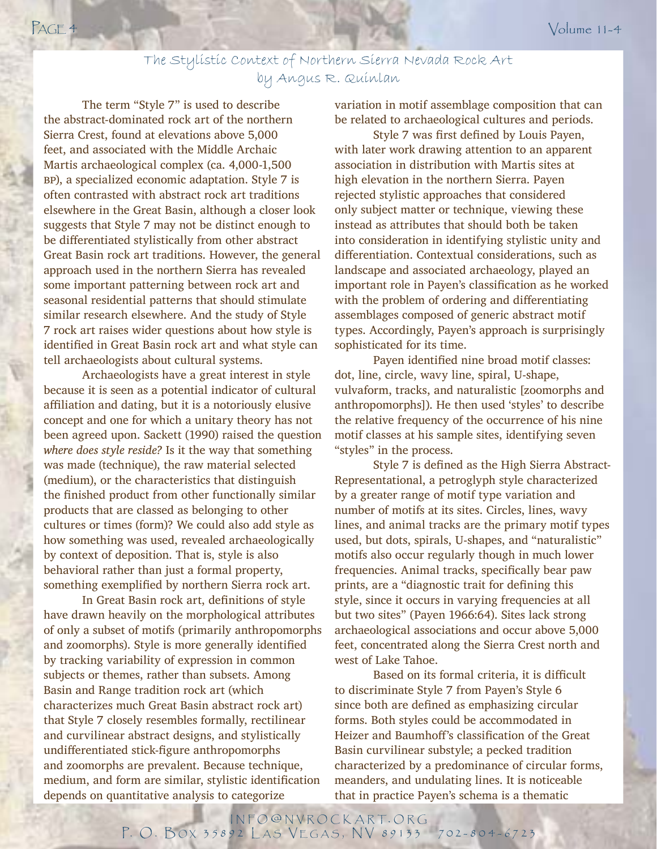### The Stylistic Context of Northern Sierra Nevada Rock Art by Angus R. Quinlan

 The term "Style 7" is used to describe the abstract-dominated rock art of the northern Sierra Crest, found at elevations above 5,000 feet, and associated with the Middle Archaic Martis archaeological complex (ca. 4,000-1,500 bp), a specialized economic adaptation. Style 7 is often contrasted with abstract rock art traditions elsewhere in the Great Basin, although a closer look suggests that Style 7 may not be distinct enough to be differentiated stylistically from other abstract Great Basin rock art traditions. However, the general approach used in the northern Sierra has revealed some important patterning between rock art and seasonal residential patterns that should stimulate similar research elsewhere. And the study of Style 7 rock art raises wider questions about how style is identified in Great Basin rock art and what style can tell archaeologists about cultural systems.

 Archaeologists have a great interest in style because it is seen as a potential indicator of cultural affiliation and dating, but it is a notoriously elusive concept and one for which a unitary theory has not been agreed upon. Sackett (1990) raised the question *where does style reside?* Is it the way that something was made (technique), the raw material selected (medium), or the characteristics that distinguish the finished product from other functionally similar products that are classed as belonging to other cultures or times (form)? We could also add style as how something was used, revealed archaeologically by context of deposition. That is, style is also behavioral rather than just a formal property, something exemplified by northern Sierra rock art.

In Great Basin rock art, definitions of style have drawn heavily on the morphological attributes of only a subset of motifs (primarily anthropomorphs and zoomorphs). Style is more generally identified by tracking variability of expression in common subjects or themes, rather than subsets. Among Basin and Range tradition rock art (which characterizes much Great Basin abstract rock art) that Style 7 closely resembles formally, rectilinear and curvilinear abstract designs, and stylistically undifferentiated stick-figure anthropomorphs and zoomorphs are prevalent. Because technique, medium, and form are similar, stylistic identification depends on quantitative analysis to categorize

variation in motif assemblage composition that can be related to archaeological cultures and periods.

Style 7 was first defined by Louis Payen, with later work drawing attention to an apparent association in distribution with Martis sites at high elevation in the northern Sierra. Payen rejected stylistic approaches that considered only subject matter or technique, viewing these instead as attributes that should both be taken into consideration in identifying stylistic unity and differentiation. Contextual considerations, such as landscape and associated archaeology, played an important role in Payen's classification as he worked with the problem of ordering and differentiating assemblages composed of generic abstract motif types. Accordingly, Payen's approach is surprisingly sophisticated for its time.

Payen identified nine broad motif classes: dot, line, circle, wavy line, spiral, U-shape, vulvaform, tracks, and naturalistic [zoomorphs and anthropomorphs]). He then used 'styles' to describe the relative frequency of the occurrence of his nine motif classes at his sample sites, identifying seven "styles" in the process.

Style 7 is defined as the High Sierra Abstract-Representational, a petroglyph style characterized by a greater range of motif type variation and number of motifs at its sites. Circles, lines, wavy lines, and animal tracks are the primary motif types used, but dots, spirals, U-shapes, and "naturalistic" motifs also occur regularly though in much lower frequencies. Animal tracks, specifically bear paw prints, are a "diagnostic trait for defining this style, since it occurs in varying frequencies at all but two sites" (Payen 1966:64). Sites lack strong archaeological associations and occur above 5,000 feet, concentrated along the Sierra Crest north and west of Lake Tahoe.

Based on its formal criteria, it is difficult to discriminate Style 7 from Payen's Style 6 since both are defined as emphasizing circular forms. Both styles could be accommodated in Heizer and Baumhoff's classification of the Great Basin curvilinear substyle; a pecked tradition characterized by a predominance of circular forms, meanders, and undulating lines. It is noticeable that in practice Payen's schema is a thematic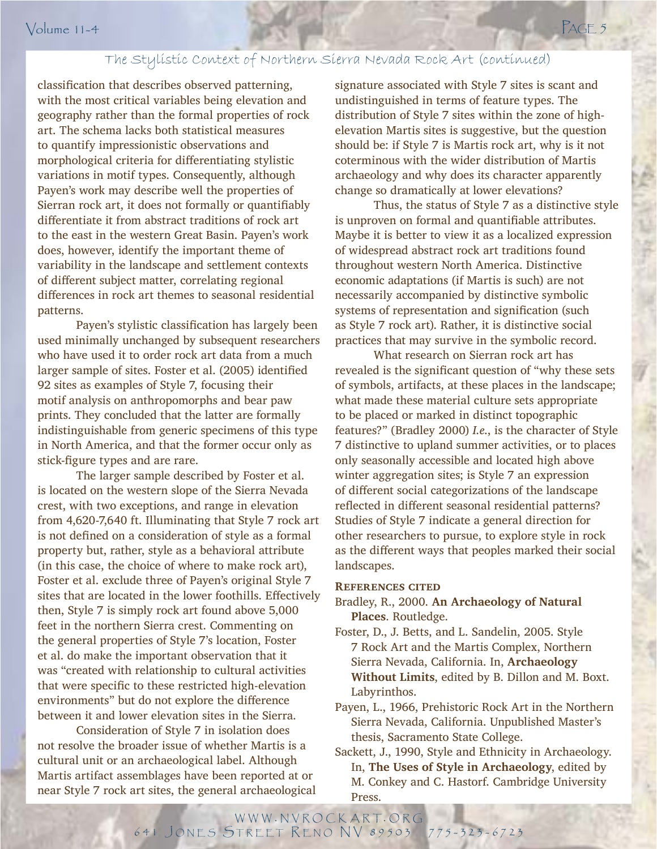### The Stylistic Context of Northern Sierra Nevada Rock Art (continued)

classification that describes observed patterning, with the most critical variables being elevation and geography rather than the formal properties of rock art. The schema lacks both statistical measures to quantify impressionistic observations and morphological criteria for differentiating stylistic variations in motif types. Consequently, although Payen's work may describe well the properties of Sierran rock art, it does not formally or quantifiably differentiate it from abstract traditions of rock art to the east in the western Great Basin. Payen's work does, however, identify the important theme of variability in the landscape and settlement contexts of different subject matter, correlating regional differences in rock art themes to seasonal residential patterns.

indistinguishable from generic specimens of this type for the state of the state of this type of the state of the state of the state of the state of the state of the state of the state of the state of the state of the stat Payen's stylistic classification has largely been used minimally unchanged by subsequent researchers who have used it to order rock art data from a much larger sample of sites. Foster et al. (2005) identified 92 sites as examples of Style 7, focusing their motif analysis on anthropomorphs and bear paw prints. They concluded that the latter are formally in North America, and that the former occur only as stick-figure types and are rare.

 The larger sample described by Foster et al. is located on the western slope of the Sierra Nevada crest, with two exceptions, and range in elevation from 4,620-7,640 ft. Illuminating that Style 7 rock art is not defined on a consideration of style as a formal property but, rather, style as a behavioral attribute (in this case, the choice of where to make rock art), Foster et al. exclude three of Payen's original Style 7 sites that are located in the lower foothills. Effectively then, Style 7 is simply rock art found above 5,000 feet in the northern Sierra crest. Commenting on the general properties of Style 7's location, Foster et al. do make the important observation that it was "created with relationship to cultural activities that were specific to these restricted high-elevation environments" but do not explore the difference between it and lower elevation sites in the Sierra.

 Consideration of Style 7 in isolation does not resolve the broader issue of whether Martis is a cultural unit or an archaeological label. Although Martis artifact assemblages have been reported at or near Style 7 rock art sites, the general archaeological signature associated with Style 7 sites is scant and undistinguished in terms of feature types. The distribution of Style 7 sites within the zone of highelevation Martis sites is suggestive, but the question should be: if Style 7 is Martis rock art, why is it not coterminous with the wider distribution of Martis archaeology and why does its character apparently change so dramatically at lower elevations?

 Thus, the status of Style 7 as a distinctive style is unproven on formal and quantifiable attributes. Maybe it is better to view it as a localized expression of widespread abstract rock art traditions found throughout western North America. Distinctive economic adaptations (if Martis is such) are not necessarily accompanied by distinctive symbolic systems of representation and signification (such as Style 7 rock art). Rather, it is distinctive social practices that may survive in the symbolic record.

 What research on Sierran rock art has revealed is the significant question of "why these sets of symbols, artifacts, at these places in the landscape; what made these material culture sets appropriate to be placed or marked in distinct topographic features?" (Bradley 2000) *I.e.*, is the character of Style 7 distinctive to upland summer activities, or to places only seasonally accessible and located high above winter aggregation sites; is Style 7 an expression of different social categorizations of the landscape reflected in different seasonal residential patterns? Studies of Style 7 indicate a general direction for other researchers to pursue, to explore style in rock as the different ways that peoples marked their social landscapes.

#### **References cited**

- Bradley, R., 2000. **An Archaeology of Natural Places**. Routledge.
- Foster, D., J. Betts, and L. Sandelin, 2005. Style 7 Rock Art and the Martis Complex, Northern Sierra Nevada, California. In, **Archaeology Without Limits**, edited by B. Dillon and M. Boxt. Labyrinthos.
- Payen, L., 1966, Prehistoric Rock Art in the Northern Sierra Nevada, California. Unpublished Master's thesis, Sacramento State College.
- Sackett, J., 1990, Style and Ethnicity in Archaeology. In, **The Uses of Style in Archaeology**, edited by M. Conkey and C. Hastorf. Cambridge University Press.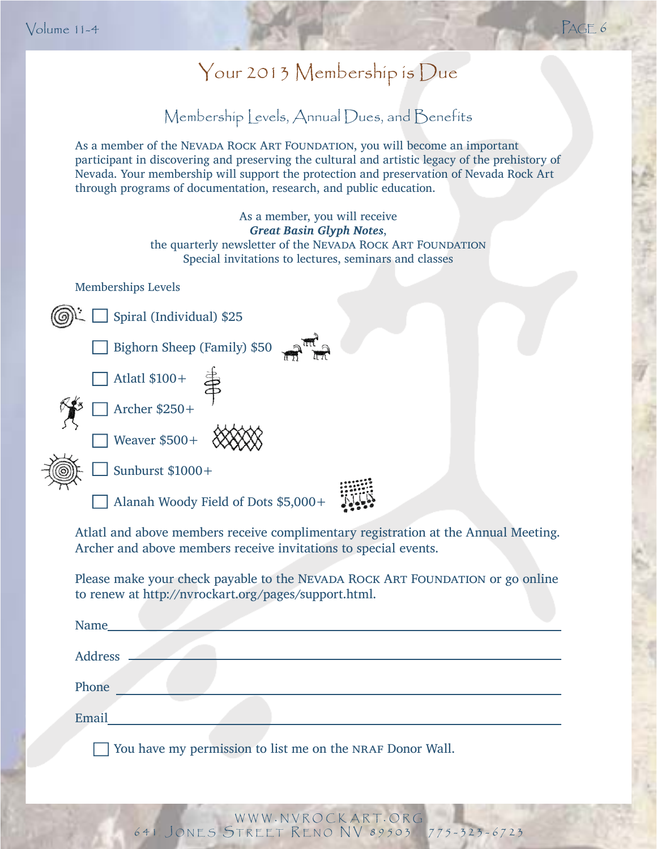# Your 2013 Membership is Due is

## Membership Levels, Annual Dues, and Benefits

As a member of the NEVADA ROCK ART FOUNDATION, you will become an important participant in discovering and preserving the cultural and artistic legacy of the prehistory of Nevada. Your membership will support the protection and preservation of Nevada Rock Art through programs of documentation, research, and public education.

| As a member, you will receive<br><b>Great Basin Glyph Notes,</b><br>the quarterly newsletter of the NEVADA ROCK ART FOUNDATION<br>Special invitations to lectures, seminars and classes |
|-----------------------------------------------------------------------------------------------------------------------------------------------------------------------------------------|
| <b>Memberships Levels</b>                                                                                                                                                               |
| Spiral (Individual) \$25                                                                                                                                                                |
| Bighorn Sheep (Family) \$50                                                                                                                                                             |
| $\Box$ Atlatl \$100+                                                                                                                                                                    |
| Archer $$250+$                                                                                                                                                                          |
| Weaver \$500+                                                                                                                                                                           |
| Sunburst \$1000+                                                                                                                                                                        |
| Alanah Woody Field of Dots \$5,000+                                                                                                                                                     |
| Atlatl and above members receive complimentary registration at the Annual Meeting.                                                                                                      |

Archer and above members receive invitations to special events.

Please make your check payable to the NEVADA ROCK ART FOUNDATION or go online to renew at http://nvrockart.org/pages/support.html.

| Name_   |  |
|---------|--|
| Address |  |
| Phone   |  |
| Email   |  |
|         |  |

You have my permission to list me on the nraf Donor Wall.